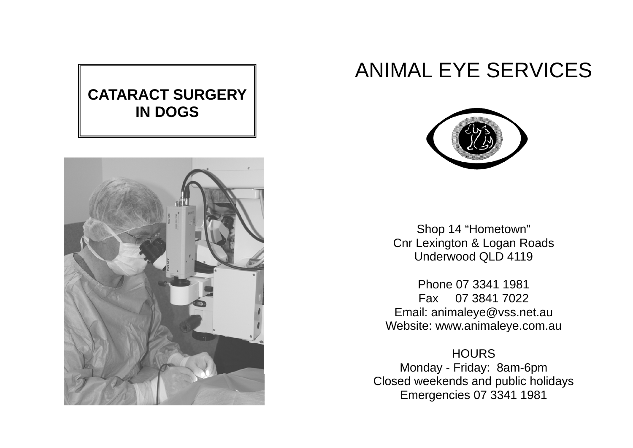# **CATARACT SURGERY IN DOGS**



# ANIMAL EYE SERVICES



Shop 14 "Hometown" Cnr Lexington & Logan Roads Underwood QLD 4119

Phone 07 3341 1981 Fax 07 3841 7022 Email: animaleye@vss.net.au Website: www.animaleye.com.au

**HOURS** Monday - Friday: 8am-6pm Closed weekends and public holidays Emergencies 07 3341 1981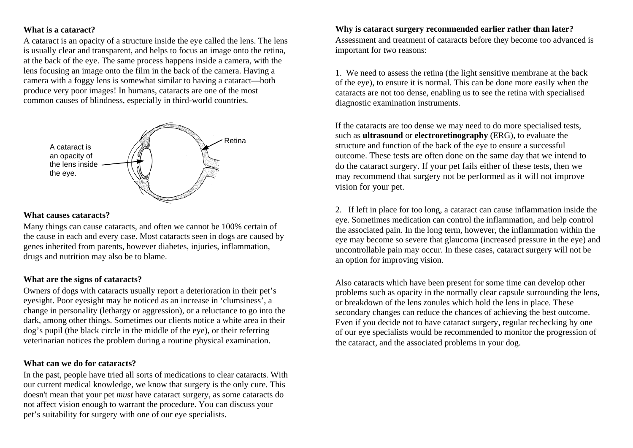# **What is a cataract?**

A cataract is an opacity of a structure inside the eye called the lens. The lens is usually clear and transparent, and helps to focus an image onto the retina, at the back of the eye. The same process happens inside a camera, with the lens focusing an image onto the film in the back of the camera. Having a camera with a foggy lens is somewhat similar to having a cataract—both produce very poor images! In humans, cataracts are one of the most common causes of blindness, especially in third-world countries.



#### **What causes cataracts?**

Many things can cause cataracts, and often we cannot be 100% certain of the cause in each and every case. Most cataracts seen in dogs are caused by genes inherited from parents, however diabetes, injuries, inflammation, drugs and nutrition may also be to blame.

# **What are the signs of cataracts?**

Owners of dogs with cataracts usually report a deterioration in their pet's eyesight. Poor eyesight may be noticed as an increase in 'clumsiness', a change in personality (lethargy or aggression), or a reluctance to go into the dark, among other things. Sometimes our clients notice a white area in their dog's pupil (the black circle in the middle of the eye), or their referring veterinarian notices the problem during a routine physical examination.

#### **What can we do for cataracts?**

In the past, people have tried all sorts of medications to clear cataracts. With our current medical knowledge, we know that surgery is the only cure. This doesn't mean that your pet *must* have cataract surgery, as some cataracts do not affect vision enough to warrant the procedure. You can discuss your pe<sup>t</sup>'s suitability for surgery with one of our eye specialists.

#### **Why is cataract surgery recommended earlier rather than later?**

Assessment and treatment of cataracts before they become too advanced is important for two reasons:

1. We need to assess the retina (the light sensitive membrane at the back of the eye), to ensure it is normal. This can be done more easily when the cataracts are not too dense, enabling us to see the retina with specialised diagnostic examination instruments.

If the cataracts are too dense we may need to do more specialised tests, such as **ultrasound** or **electroretinography** (ERG), to evaluate the structure and function of the back of the eye to ensure a successful outcome. These tests are often done on the same day that we intend to do the cataract surgery. If your pet fails either of these tests, then we may recommend that surgery not be performed as it will not improve vision for your pet.

2. If left in place for too long, a cataract can cause inflammation inside the eye. Sometimes medication can control the inflammation, and help control the associated pain. In the long term, however, the inflammation within the eye may become so severe that glaucoma (increased pressure in the eye) and uncontrollable pain may occur. In these cases, cataract surgery will not be an option for improving vision.

Also cataracts which have been present for some time can develop other problems such as opacity in the normally clear capsule surrounding the lens, or breakdown of the lens zonules which hold the lens in place. These secondary changes can reduce the chances of achieving the best outcome. Even if you decide not to have cataract surgery, regular rechecking by one of our eye specialists would be recommended to monitor the progression of the cataract, and the associated problems in your dog.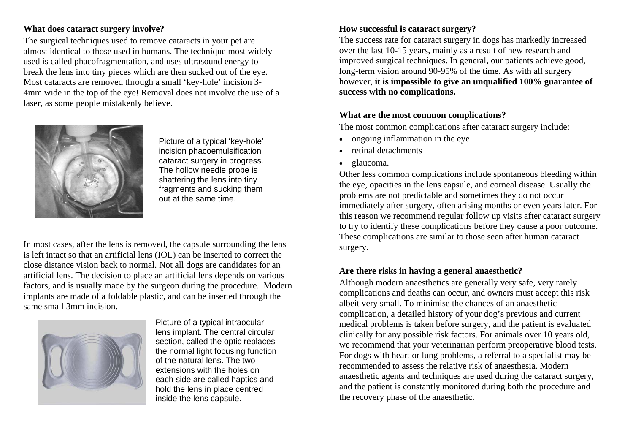# **What does cataract surgery involve?**

The surgical techniques used to remove cataracts in your pet are almost identical to those used in humans. The technique most widely used is called phacofragmentation, and uses ultrasound energy to break the lens into tiny pieces which are then sucked out of the eye. Most cataracts are removed through a small 'key-hole' incision 3- 4mm wide in the top of the eye! Removal does not involve the use of a laser, as some people mistakenly believe.



Picture of a typical 'key-hole' incision phacoemulsification cataract surgery in progress. The hollow needle probe is shattering the lens into tiny fragments and sucking them out at the same time.

In most cases, after the lens is removed, the capsule surrounding the lens is left intact so that an artificial lens (IOL) can be inserted to correct the close distance vision back to normal. Not all dogs are candidates for an artificial lens. The decision to place an artificial lens depends on various factors, and is usually made by the surgeon during the procedure. Modern implants are made of a foldable plastic, and can be inserted through the same small 3mm incision.



Picture of a typical intraocular lens implant. The central circular section, called the optic replaces the normal light focusing function of the natural lens. The two extensions with the holes on each side are called haptics and hold the lens in place centred inside the lens capsule.

# **How successful is cataract surgery?**

The success rate for cataract surgery in dogs has markedly increased over the last 10-15 years, mainly as a result of new research and improved surgical techniques. In general, our patients achieve good, long-term vision around 90-95% of the time. As with all surgery however, **it is impossible to give an unqualified 100% guarantee of success with no complications.** 

# **What are the most common complications?**

The most common complications after cataract surgery include:

- ongoing inflammation in the eye
- retinal detachments
- glaucoma.

Other less common complications include spontaneous bleeding within the eye, opacities in the lens capsule, and corneal disease. Usually the problems are not predictable and sometimes they do not occur immediately after surgery, often arising months or even years later. For this reason we recommend regular follow up visits after cataract surgery to try to identify these complications before they cause a poor outcome. These complications are similar to those seen after human cataract surgery.

# **Are there risks in having a general anaesthetic?**

Although modern anaesthetics are generally very safe, very rarely complications and deaths can occur, and owners must accept this risk albeit very small. To minimise the chances of an anaesthetic complication, a detailed history of your dog's previous and current medical problems is taken before surgery, and the patient is evaluated clinically for any possible risk factors. For animals over 10 years old, we recommend that your veterinarian perform preoperative blood tests. For dogs with heart or lung problems, a referral to a specialist may be recommended to assess the relative risk of anaesthesia. Modern anaesthetic agents and techniques are used during the cataract surgery, and the patient is constantly monitored during both the procedure and the recovery phase of the anaesthetic.